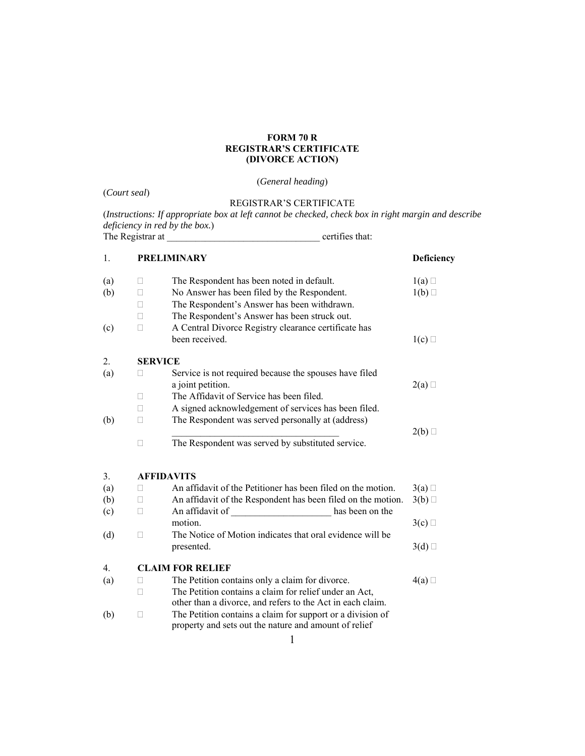## **FORM 70 R REGISTRAR'S CERTIFICATE (DIVORCE ACTION)**

## (*General heading*)

(*Court seal*) REGISTRAR'S CERTIFICATE (*Instructions: If appropriate box at left cannot be checked, check box in right margin and describe deficiency in red by the box.*) The Registrar at \_\_\_\_\_\_\_\_\_\_\_\_\_\_\_\_\_\_\_\_\_\_\_\_\_\_\_\_\_\_\_\_ certifies that:

| 1.  | <b>PRELIMINARY</b>                                                                                                                                                                                                                                                             | Deficiency |
|-----|--------------------------------------------------------------------------------------------------------------------------------------------------------------------------------------------------------------------------------------------------------------------------------|------------|
| (a) | The Respondent has been noted in default.<br>u                                                                                                                                                                                                                                 | 1(a)       |
| (b) | No Answer has been filed by the Respondent.<br>П                                                                                                                                                                                                                               | 1(b)       |
|     | The Respondent's Answer has been withdrawn.<br>П                                                                                                                                                                                                                               |            |
|     | The Respondent's Answer has been struck out.<br>П                                                                                                                                                                                                                              |            |
| (c) | A Central Divorce Registry clearance certificate has<br>П                                                                                                                                                                                                                      |            |
|     | been received.                                                                                                                                                                                                                                                                 | 1(c)       |
| 2.  | <b>SERVICE</b>                                                                                                                                                                                                                                                                 |            |
| (a) | Service is not required because the spouses have filed<br>П                                                                                                                                                                                                                    |            |
|     | a joint petition.                                                                                                                                                                                                                                                              | 2(a)       |
|     | The Affidavit of Service has been filed.<br>П                                                                                                                                                                                                                                  |            |
|     | A signed acknowledgement of services has been filed.<br>П                                                                                                                                                                                                                      |            |
| (b) | The Respondent was served personally at (address)<br>П                                                                                                                                                                                                                         |            |
|     |                                                                                                                                                                                                                                                                                | 2(b)       |
|     | The Respondent was served by substituted service.<br>П                                                                                                                                                                                                                         |            |
| 3.  | <b>AFFIDAVITS</b>                                                                                                                                                                                                                                                              |            |
| (a) | An affidavit of the Petitioner has been filed on the motion.<br>u                                                                                                                                                                                                              | 3(a)       |
| (b) | An affidavit of the Respondent has been filed on the motion.<br>$\Box$                                                                                                                                                                                                         | 3(b)       |
| (c) | An affidavit of<br>has been on the<br><u> 1990 - Johann Barbara, martx</u><br>Ш                                                                                                                                                                                                |            |
|     | motion.                                                                                                                                                                                                                                                                        | 3(c)       |
| (d) | The Notice of Motion indicates that oral evidence will be<br>П                                                                                                                                                                                                                 |            |
|     | presented.                                                                                                                                                                                                                                                                     | 3(d)       |
| 4.  | <b>CLAIM FOR RELIEF</b>                                                                                                                                                                                                                                                        |            |
| (a) | The Petition contains only a claim for divorce.<br>П                                                                                                                                                                                                                           | 4(a)       |
|     | The Petition contains a claim for relief under an Act,<br>П                                                                                                                                                                                                                    |            |
|     | other than a divorce, and refers to the Act in each claim.                                                                                                                                                                                                                     |            |
| (b) | The Petition contains a claim for support or a division of<br>$\mathbf{L}$                                                                                                                                                                                                     |            |
|     | property and sets out the nature and amount of relief                                                                                                                                                                                                                          |            |
|     | $\sim$ 1.0 $\sim$ 1.0 $\sim$ 1.0 $\sim$ 1.0 $\sim$ 1.0 $\sim$ 1.0 $\sim$ 1.0 $\sim$ 1.0 $\sim$ 1.0 $\sim$ 1.0 $\sim$ 1.0 $\sim$ 1.0 $\sim$ 1.0 $\sim$ 1.0 $\sim$ 1.0 $\sim$ 1.0 $\sim$ 1.0 $\sim$ 1.0 $\sim$ 1.0 $\sim$ 1.0 $\sim$ 1.0 $\sim$ 1.0 $\sim$ 1.0 $\sim$ 1.0 $\sim$ |            |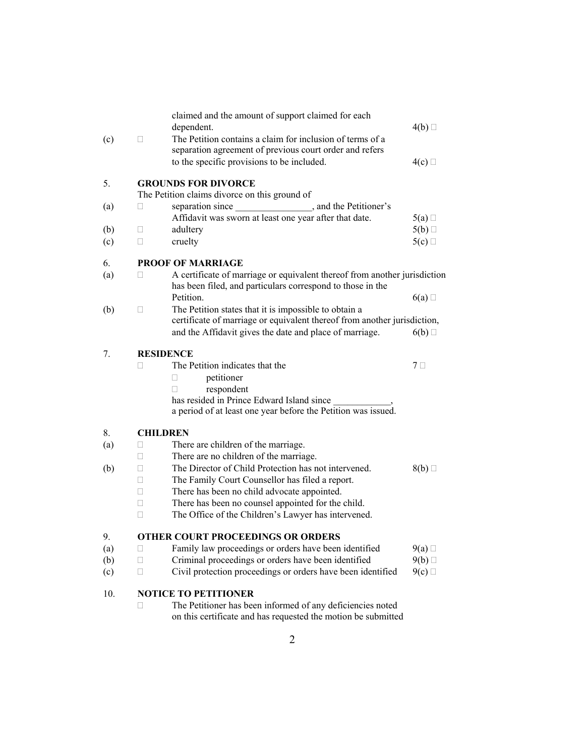| (c) | claimed and the amount of support claimed for each<br>dependent.<br>The Petition contains a claim for inclusion of terms of a<br>□     | 4(b)                                                                      |  |  |
|-----|----------------------------------------------------------------------------------------------------------------------------------------|---------------------------------------------------------------------------|--|--|
|     | separation agreement of previous court order and refers<br>to the specific provisions to be included.                                  | 4(c)                                                                      |  |  |
| 5.  | <b>GROUNDS FOR DIVORCE</b><br>The Petition claims divorce on this ground of                                                            |                                                                           |  |  |
| (a) | □<br>Affidavit was sworn at least one year after that date.                                                                            | 5(a)                                                                      |  |  |
| (b) | adultery<br>П                                                                                                                          | 5(b)                                                                      |  |  |
| (c) | cruelty<br>$\Box$                                                                                                                      | 5(c)                                                                      |  |  |
| 6.  | <b>PROOF OF MARRIAGE</b>                                                                                                               |                                                                           |  |  |
| (a) | $\Box$<br>has been filed, and particulars correspond to those in the                                                                   | A certificate of marriage or equivalent thereof from another jurisdiction |  |  |
|     | Petition.                                                                                                                              | 6(a)                                                                      |  |  |
| (b) | The Petition states that it is impossible to obtain a<br>П<br>certificate of marriage or equivalent thereof from another jurisdiction, |                                                                           |  |  |
|     | and the Affidavit gives the date and place of marriage.                                                                                | 6(b)                                                                      |  |  |
| 7.  | <b>RESIDENCE</b>                                                                                                                       |                                                                           |  |  |
|     | The Petition indicates that the                                                                                                        | $7\Box$                                                                   |  |  |
|     | petitioner<br>П                                                                                                                        |                                                                           |  |  |
|     | respondent<br>$\mathbf{L}$                                                                                                             |                                                                           |  |  |
|     | has resided in Prince Edward Island since<br>a period of at least one year before the Petition was issued.                             |                                                                           |  |  |
| 8.  | <b>CHILDREN</b>                                                                                                                        |                                                                           |  |  |
| (a) | There are children of the marriage.<br>П                                                                                               |                                                                           |  |  |
|     | There are no children of the marriage.<br>П                                                                                            |                                                                           |  |  |
| (b) | The Director of Child Protection has not intervened.<br>П                                                                              | 8(b)                                                                      |  |  |
|     | The Family Court Counsellor has filed a report.<br>П                                                                                   |                                                                           |  |  |
|     | There has been no child advocate appointed.<br>П<br>There has been no counsel appointed for the child.<br>П                            |                                                                           |  |  |
|     | The Office of the Children's Lawyer has intervened.<br>П                                                                               |                                                                           |  |  |
|     |                                                                                                                                        |                                                                           |  |  |
| 9   | <b>OTHER COURT PROCEEDINGS OR ORDERS</b>                                                                                               |                                                                           |  |  |
| (a) | Family law proceedings or orders have been identified<br>П                                                                             | 9(a)                                                                      |  |  |
| (b) | Criminal proceedings or orders have been identified<br>$\mathbf{L}$                                                                    | 9(b)                                                                      |  |  |
| (c) | Civil protection proceedings or orders have been identified<br>$\mathbf{L}$                                                            | 9(c)                                                                      |  |  |
| 10. | <b>NOTICE TO PETITIONER</b>                                                                                                            |                                                                           |  |  |
|     | The Petitioner has been informed of any deficiencies noted<br>on this certificate and has requested the motion be submitted            |                                                                           |  |  |